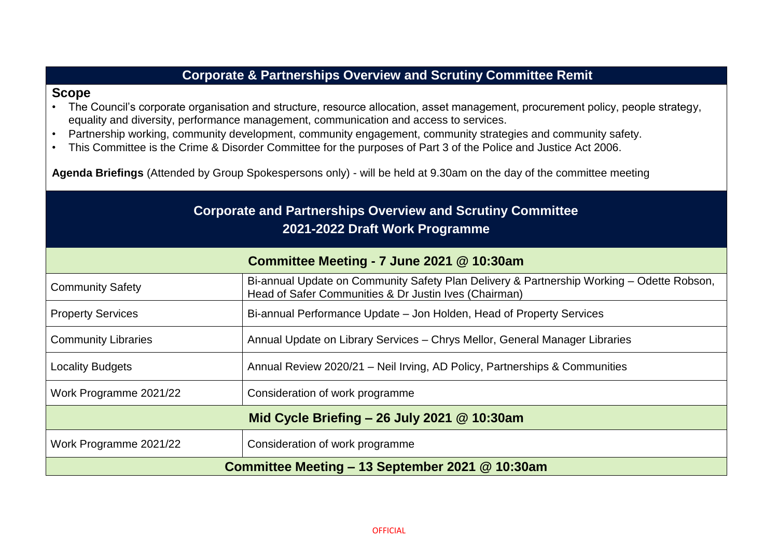| <b>Corporate &amp; Partnerships Overview and Scrutiny Committee Remit</b>                                                                                                                                                                                                                                                                                                                                                                                                                                                                                                                                                     |                                                                                                                                                    |  |
|-------------------------------------------------------------------------------------------------------------------------------------------------------------------------------------------------------------------------------------------------------------------------------------------------------------------------------------------------------------------------------------------------------------------------------------------------------------------------------------------------------------------------------------------------------------------------------------------------------------------------------|----------------------------------------------------------------------------------------------------------------------------------------------------|--|
| <b>Scope</b><br>The Council's corporate organisation and structure, resource allocation, asset management, procurement policy, people strategy,<br>equality and diversity, performance management, communication and access to services.<br>Partnership working, community development, community engagement, community strategies and community safety.<br>$\bullet$<br>This Committee is the Crime & Disorder Committee for the purposes of Part 3 of the Police and Justice Act 2006.<br>$\bullet$<br>Agenda Briefings (Attended by Group Spokespersons only) - will be held at 9.30am on the day of the committee meeting |                                                                                                                                                    |  |
| <b>Corporate and Partnerships Overview and Scrutiny Committee</b><br>2021-2022 Draft Work Programme                                                                                                                                                                                                                                                                                                                                                                                                                                                                                                                           |                                                                                                                                                    |  |
| Committee Meeting - 7 June 2021 @ 10:30am                                                                                                                                                                                                                                                                                                                                                                                                                                                                                                                                                                                     |                                                                                                                                                    |  |
| <b>Community Safety</b>                                                                                                                                                                                                                                                                                                                                                                                                                                                                                                                                                                                                       | Bi-annual Update on Community Safety Plan Delivery & Partnership Working - Odette Robson,<br>Head of Safer Communities & Dr Justin Ives (Chairman) |  |
| <b>Property Services</b>                                                                                                                                                                                                                                                                                                                                                                                                                                                                                                                                                                                                      | Bi-annual Performance Update – Jon Holden, Head of Property Services                                                                               |  |
| <b>Community Libraries</b>                                                                                                                                                                                                                                                                                                                                                                                                                                                                                                                                                                                                    | Annual Update on Library Services - Chrys Mellor, General Manager Libraries                                                                        |  |
| <b>Locality Budgets</b>                                                                                                                                                                                                                                                                                                                                                                                                                                                                                                                                                                                                       | Annual Review 2020/21 - Neil Irving, AD Policy, Partnerships & Communities                                                                         |  |
| Work Programme 2021/22                                                                                                                                                                                                                                                                                                                                                                                                                                                                                                                                                                                                        | Consideration of work programme                                                                                                                    |  |
| Mid Cycle Briefing $-$ 26 July 2021 @ 10:30am                                                                                                                                                                                                                                                                                                                                                                                                                                                                                                                                                                                 |                                                                                                                                                    |  |
| Work Programme 2021/22                                                                                                                                                                                                                                                                                                                                                                                                                                                                                                                                                                                                        | Consideration of work programme                                                                                                                    |  |
| Committee Meeting - 13 September 2021 @ 10:30am                                                                                                                                                                                                                                                                                                                                                                                                                                                                                                                                                                               |                                                                                                                                                    |  |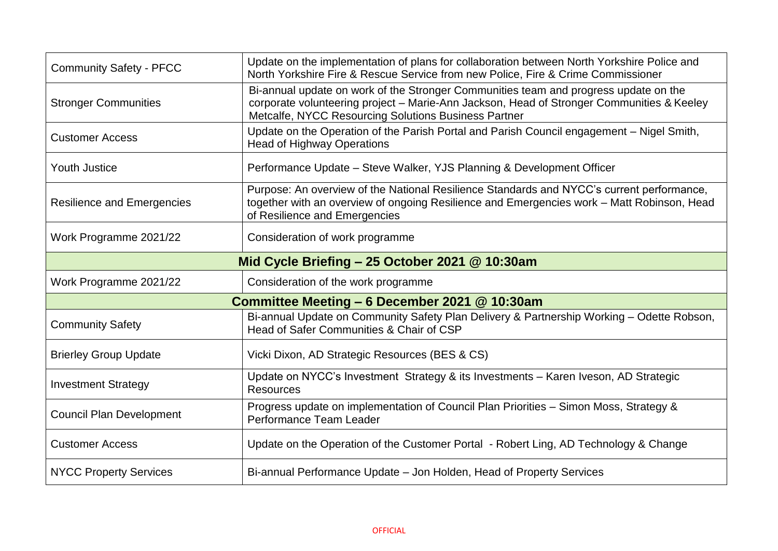| <b>Community Safety - PFCC</b>                 | Update on the implementation of plans for collaboration between North Yorkshire Police and<br>North Yorkshire Fire & Rescue Service from new Police, Fire & Crime Commissioner                                                            |  |
|------------------------------------------------|-------------------------------------------------------------------------------------------------------------------------------------------------------------------------------------------------------------------------------------------|--|
| <b>Stronger Communities</b>                    | Bi-annual update on work of the Stronger Communities team and progress update on the<br>corporate volunteering project - Marie-Ann Jackson, Head of Stronger Communities & Keeley<br>Metcalfe, NYCC Resourcing Solutions Business Partner |  |
| <b>Customer Access</b>                         | Update on the Operation of the Parish Portal and Parish Council engagement – Nigel Smith,<br><b>Head of Highway Operations</b>                                                                                                            |  |
| <b>Youth Justice</b>                           | Performance Update – Steve Walker, YJS Planning & Development Officer                                                                                                                                                                     |  |
| <b>Resilience and Emergencies</b>              | Purpose: An overview of the National Resilience Standards and NYCC's current performance,<br>together with an overview of ongoing Resilience and Emergencies work - Matt Robinson, Head<br>of Resilience and Emergencies                  |  |
| Work Programme 2021/22                         | Consideration of work programme                                                                                                                                                                                                           |  |
| Mid Cycle Briefing - 25 October 2021 @ 10:30am |                                                                                                                                                                                                                                           |  |
| Work Programme 2021/22                         | Consideration of the work programme                                                                                                                                                                                                       |  |
| Committee Meeting - 6 December 2021 @ 10:30am  |                                                                                                                                                                                                                                           |  |
|                                                |                                                                                                                                                                                                                                           |  |
| <b>Community Safety</b>                        | Bi-annual Update on Community Safety Plan Delivery & Partnership Working - Odette Robson,<br>Head of Safer Communities & Chair of CSP                                                                                                     |  |
| <b>Brierley Group Update</b>                   | Vicki Dixon, AD Strategic Resources (BES & CS)                                                                                                                                                                                            |  |
| <b>Investment Strategy</b>                     | Update on NYCC's Investment Strategy & its Investments - Karen Iveson, AD Strategic<br>Resources                                                                                                                                          |  |
| <b>Council Plan Development</b>                | Progress update on implementation of Council Plan Priorities - Simon Moss, Strategy &<br>Performance Team Leader                                                                                                                          |  |
| <b>Customer Access</b>                         | Update on the Operation of the Customer Portal - Robert Ling, AD Technology & Change                                                                                                                                                      |  |